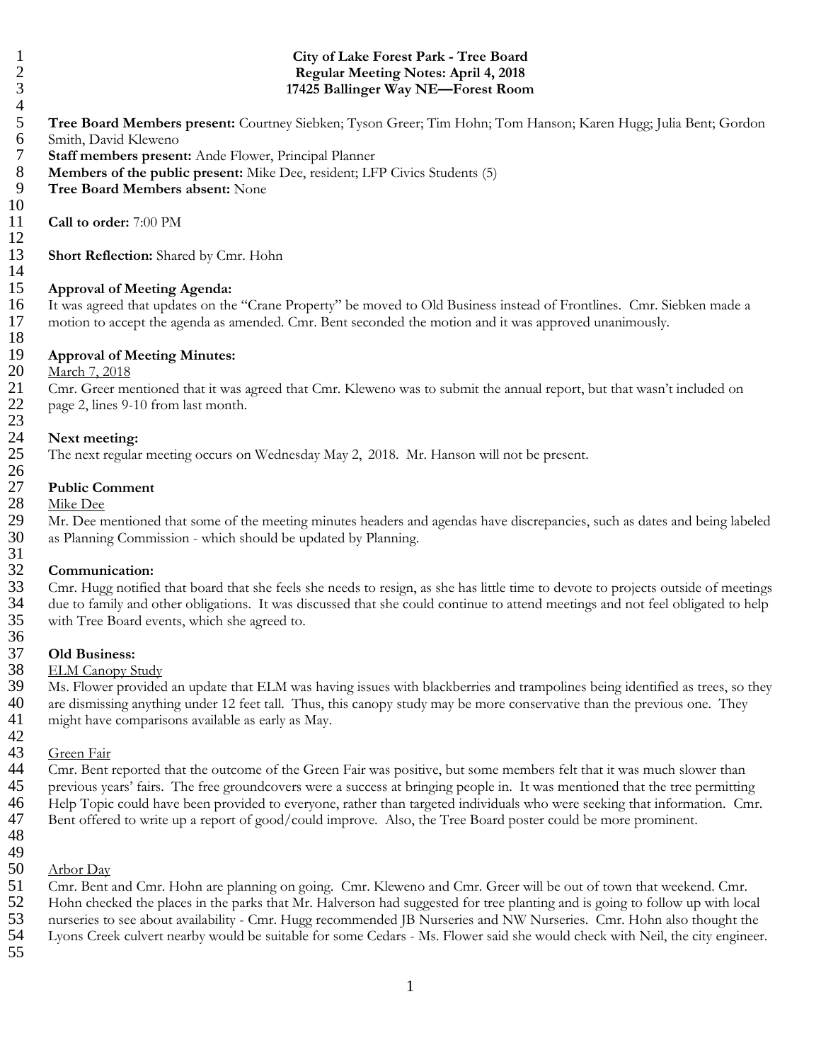$\begin{array}{c} 10 \\ 11 \end{array}$ 12 14  $\frac{23}{24}$  $\frac{26}{27}$  $\frac{31}{32}$ 

## 18<br>19 19 **Approval of Meeting Minutes:** March 7, 2018 21 Cmr. Greer mentioned that it was agreed that Cmr. Kleweno was to submit the annual report, but that wasn't included on page 2, lines 9-10 from last month. page 2, lines 9-10 from last month.

### Next meeting:

25 The next regular meeting occurs on Wednesday May 2, 2018. Mr. Hanson will not be present.

# 27 **Public Comment**

Mike Dee

29 Mr. Dee mentioned that some of the meeting minutes headers and agendas have discrepancies, such as dates and being labeled as Planning Commission - which should be updated by Planning. as Planning Commission - which should be updated by Planning.

# 32 **Communication:**

Cmr. Hugg notified that board that she feels she needs to resign, as she has little time to devote to projects outside of meetings 34 due to family and other obligations. It was discussed that she could continue to attend meetings and not feel obligated to help 35 with Tree Board events, which she agreed to. 36

### 37 **Old Business:**

### 38 ELM Canopy Study

39 Ms. Flower provided an update that ELM was having issues with blackberries and trampolines being identified as trees, so they<br>40 are dismissing anything under 12 feet tall. Thus, this canony study may be more conservati are dismissing anything under 12 feet tall. Thus, this canopy study may be more conservative than the previous one. They 41 might have comparisons available as early as May.

### 42<br>43 Green Fair

 Cmr. Bent reported that the outcome of the Green Fair was positive, but some members felt that it was much slower than previous years' fairs. The free groundcovers were a success at bringing people in. It was mentioned that the tree permitting Help Topic could have been provided to everyone, rather than targeted individuals who were seeking that information. Cmr. Bent offered to write up a report of good/could improve. Also, the Tree Board poster could be more prominent.

49

48

50 Arbor Day

51 Cmr. Bent and Cmr. Hohn are planning on going. Cmr. Kleweno and Cmr. Greer will be out of town that weekend. Cmr.<br>52 Hohn checked the places in the parks that Mr. Halverson had suggested for tree planting and is going t

- 52 Hohn checked the places in the parks that Mr. Halverson had suggested for tree planting and is going to follow up with local
	- 53 nurseries to see about availability Cmr. Hugg recommended JB Nurseries and NW Nurseries. Cmr. Hohn also thought the 54 Lyons Creek culvert nearby would be suitable for some Cedars - Ms. Flower said she would check with Neil, the city engineer.
- 55

### 1 **City of Lake Forest Park - Tree Board**<br>2 **Regular Meeting Notes: April 4, 2018**<br>3 **17425 Ballinger Way NE—Forest Room** 2 **Regular Meeting Notes: April 4, 2018** 3 **17425 Ballinger Way NE—Forest Room**

- $\begin{array}{c} 4 \\ 5 \\ 6 \end{array}$ 5 **Tree Board Members present:** Courtney Siebken; Tyson Greer; Tim Hohn; Tom Hanson; Karen Hugg; Julia Bent; Gordon
- 6 Smith, David Kleweno<br>7 Staff members presen<br>8 Members of the publi **Staff members present:** Ande Flower, Principal Planner
- 8 **Members of the public present:** Mike Dee, resident; LFP Civics Students (5)<br>9 **Tree Board Members absent:** None
- 9 **Tree Board Members absent:** None
- 11 **Call to order:** 7:00 PM
- 13 **Short Reflection:** Shared by Cmr. Hohn

15 **Approval of Meeting Agenda:** It was agreed that updates on the "Crane Property" be moved to Old Business instead of Frontlines. Cmr. Siebken made a 17 motion to accept the agenda as amended. Cmr. Bent seconded the motion and it was approved unanimously.